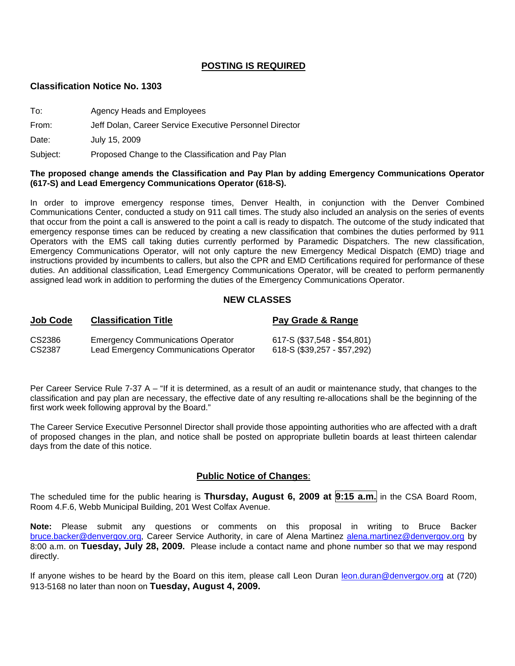### **POSTING IS REQUIRED**

### **Classification Notice No. 1303**

| To:      | Agency Heads and Employees                              |
|----------|---------------------------------------------------------|
| From:    | Jeff Dolan, Career Service Executive Personnel Director |
| Date:    | July 15, 2009                                           |
| Subject: | Proposed Change to the Classification and Pay Plan      |

#### **The proposed change amends the Classification and Pay Plan by adding Emergency Communications Operator (617-S) and Lead Emergency Communications Operator (618-S).**

In order to improve emergency response times, Denver Health, in conjunction with the Denver Combined Communications Center, conducted a study on 911 call times. The study also included an analysis on the series of events that occur from the point a call is answered to the point a call is ready to dispatch. The outcome of the study indicated that emergency response times can be reduced by creating a new classification that combines the duties performed by 911 Operators with the EMS call taking duties currently performed by Paramedic Dispatchers. The new classification, Emergency Communications Operator, will not only capture the new Emergency Medical Dispatch (EMD) triage and instructions provided by incumbents to callers, but also the CPR and EMD Certifications required for performance of these duties. An additional classification, Lead Emergency Communications Operator, will be created to perform permanently assigned lead work in addition to performing the duties of the Emergency Communications Operator.

### **NEW CLASSES**

| Job Code | <b>Classification Title</b>              | Pay Grade & Range           |
|----------|------------------------------------------|-----------------------------|
| CS2386   | <b>Emergency Communications Operator</b> | 617-S (\$37,548 - \$54,801) |
| CS2387   | Lead Emergency Communications Operator   | 618-S (\$39,257 - \$57,292) |

Per Career Service Rule 7-37 A – "If it is determined, as a result of an audit or maintenance study, that changes to the classification and pay plan are necessary, the effective date of any resulting re-allocations shall be the beginning of the first work week following approval by the Board."

The Career Service Executive Personnel Director shall provide those appointing authorities who are affected with a draft of proposed changes in the plan, and notice shall be posted on appropriate bulletin boards at least thirteen calendar days from the date of this notice.

### **Public Notice of Changes**:

The scheduled time for the public hearing is **Thursday, August 6, 2009 at 9:15 a.m.** in the CSA Board Room, Room 4.F.6, Webb Municipal Building, 201 West Colfax Avenue.

**Note:** Please submit any questions or comments on this proposal in writing to Bruce Backer [bruce.backer@denvergov.org,](mailto:bruce.backer@denvergov.org) Career Service Authority, in care of Alena Martinez [alena.martinez@denvergov.org](mailto:alena.martinez@denvergov.org) by 8:00 a.m. on **Tuesday, July 28, 2009.** Please include a contact name and phone number so that we may respond directly.

If anyone wishes to be heard by the Board on this item, please call Leon Duran [leon.duran@denvergov.org](mailto:leon.duran@denvergov.org) at (720) 913-5168 no later than noon on **Tuesday, August 4, 2009.**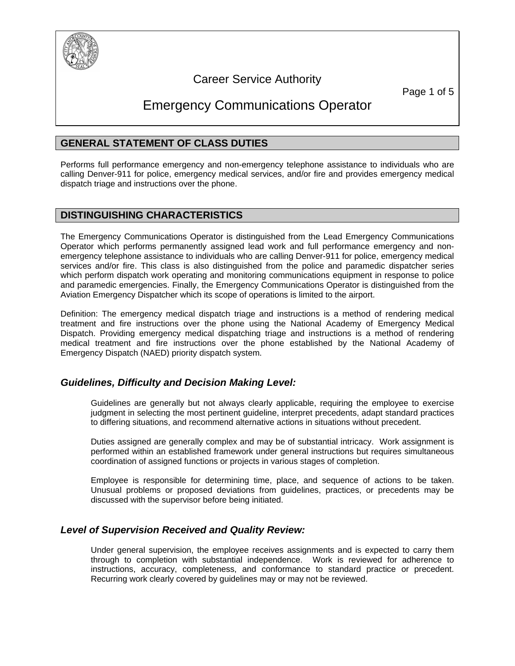

## Career Service Authority

Page 1 of 5

# Emergency Communications Operator

## **GENERAL STATEMENT OF CLASS DUTIES**

Performs full performance emergency and non-emergency telephone assistance to individuals who are calling Denver-911 for police, emergency medical services, and/or fire and provides emergency medical dispatch triage and instructions over the phone.

### **DISTINGUISHING CHARACTERISTICS**

The Emergency Communications Operator is distinguished from the Lead Emergency Communications Operator which performs permanently assigned lead work and full performance emergency and nonemergency telephone assistance to individuals who are calling Denver-911 for police, emergency medical services and/or fire. This class is also distinguished from the police and paramedic dispatcher series which perform dispatch work operating and monitoring communications equipment in response to police and paramedic emergencies. Finally, the Emergency Communications Operator is distinguished from the Aviation Emergency Dispatcher which its scope of operations is limited to the airport.

Definition: The emergency medical dispatch triage and instructions is a method of rendering medical treatment and fire instructions over the phone using the National Academy of Emergency Medical Dispatch. Providing emergency medical dispatching triage and instructions is a method of rendering medical treatment and fire instructions over the phone established by the National Academy of Emergency Dispatch (NAED) priority dispatch system.

### *Guidelines, Difficulty and Decision Making Level:*

Guidelines are generally but not always clearly applicable, requiring the employee to exercise judgment in selecting the most pertinent guideline, interpret precedents, adapt standard practices to differing situations, and recommend alternative actions in situations without precedent.

Duties assigned are generally complex and may be of substantial intricacy. Work assignment is performed within an established framework under general instructions but requires simultaneous coordination of assigned functions or projects in various stages of completion.

Employee is responsible for determining time, place, and sequence of actions to be taken. Unusual problems or proposed deviations from guidelines, practices, or precedents may be discussed with the supervisor before being initiated.

### *Level of Supervision Received and Quality Review:*

Under general supervision, the employee receives assignments and is expected to carry them through to completion with substantial independence. Work is reviewed for adherence to instructions, accuracy, completeness, and conformance to standard practice or precedent. Recurring work clearly covered by guidelines may or may not be reviewed.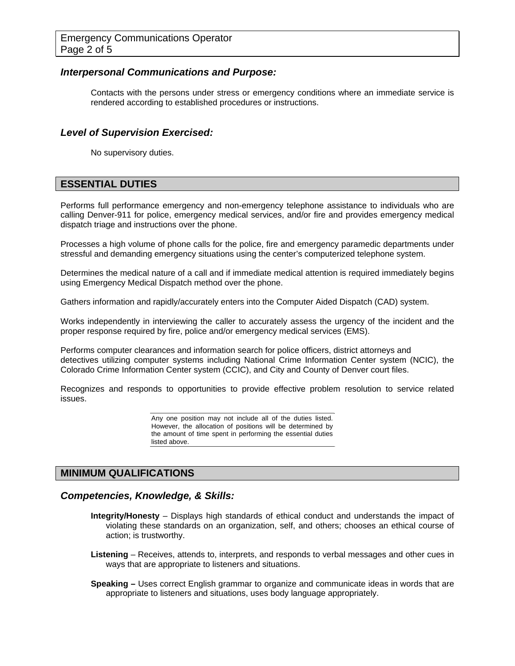### *Interpersonal Communications and Purpose:*

Contacts with the persons under stress or emergency conditions where an immediate service is rendered according to established procedures or instructions.

### *Level of Supervision Exercised:*

No supervisory duties.

### **ESSENTIAL DUTIES**

Performs full performance emergency and non-emergency telephone assistance to individuals who are calling Denver-911 for police, emergency medical services, and/or fire and provides emergency medical dispatch triage and instructions over the phone.

Processes a high volume of phone calls for the police, fire and emergency paramedic departments under stressful and demanding emergency situations using the center's computerized telephone system.

Determines the medical nature of a call and if immediate medical attention is required immediately begins using Emergency Medical Dispatch method over the phone.

Gathers information and rapidly/accurately enters into the Computer Aided Dispatch (CAD) system.

Works independently in interviewing the caller to accurately assess the urgency of the incident and the proper response required by fire, police and/or emergency medical services (EMS).

Performs computer clearances and information search for police officers, district attorneys and detectives utilizing computer systems including National Crime Information Center system (NCIC), the Colorado Crime Information Center system (CCIC), and City and County of Denver court files.

Recognizes and responds to opportunities to provide effective problem resolution to service related issues.

> Any one position may not include all of the duties listed. However, the allocation of positions will be determined by the amount of time spent in performing the essential duties listed above.

### **MINIMUM QUALIFICATIONS**

### *Competencies, Knowledge, & Skills:*

- **Integrity/Honesty**  Displays high standards of ethical conduct and understands the impact of violating these standards on an organization, self, and others; chooses an ethical course of action; is trustworthy.
- **Listening**  Receives, attends to, interprets, and responds to verbal messages and other cues in ways that are appropriate to listeners and situations.
- **Speaking** Uses correct English grammar to organize and communicate ideas in words that are appropriate to listeners and situations, uses body language appropriately.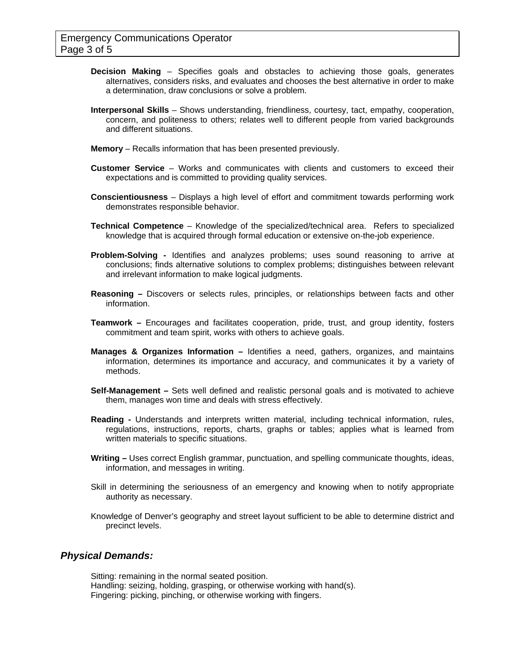- **Decision Making**  Specifies goals and obstacles to achieving those goals, generates alternatives, considers risks, and evaluates and chooses the best alternative in order to make a determination, draw conclusions or solve a problem.
- **Interpersonal Skills**  Shows understanding, friendliness, courtesy, tact, empathy, cooperation, concern, and politeness to others; relates well to different people from varied backgrounds and different situations.
- **Memory**  Recalls information that has been presented previously.
- **Customer Service**  Works and communicates with clients and customers to exceed their expectations and is committed to providing quality services.
- **Conscientiousness**  Displays a high level of effort and commitment towards performing work demonstrates responsible behavior.
- **Technical Competence** Knowledge of the specialized/technical area. Refers to specialized knowledge that is acquired through formal education or extensive on-the-job experience.
- **Problem-Solving** Identifies and analyzes problems; uses sound reasoning to arrive at conclusions; finds alternative solutions to complex problems; distinguishes between relevant and irrelevant information to make logical judgments.
- **Reasoning** Discovers or selects rules, principles, or relationships between facts and other information.
- **Teamwork** Encourages and facilitates cooperation, pride, trust, and group identity, fosters commitment and team spirit, works with others to achieve goals.
- **Manages & Organizes Information** Identifies a need, gathers, organizes, and maintains information, determines its importance and accuracy, and communicates it by a variety of methods.
- **Self-Management** Sets well defined and realistic personal goals and is motivated to achieve them, manages won time and deals with stress effectively.
- **Reading** Understands and interprets written material, including technical information, rules, regulations, instructions, reports, charts, graphs or tables; applies what is learned from written materials to specific situations.
- **Writing** Uses correct English grammar, punctuation, and spelling communicate thoughts, ideas, information, and messages in writing.
- Skill in determining the seriousness of an emergency and knowing when to notify appropriate authority as necessary.
- Knowledge of Denver's geography and street layout sufficient to be able to determine district and precinct levels.

### *Physical Demands:*

Sitting: remaining in the normal seated position. Handling: seizing, holding, grasping, or otherwise working with hand(s). Fingering: picking, pinching, or otherwise working with fingers.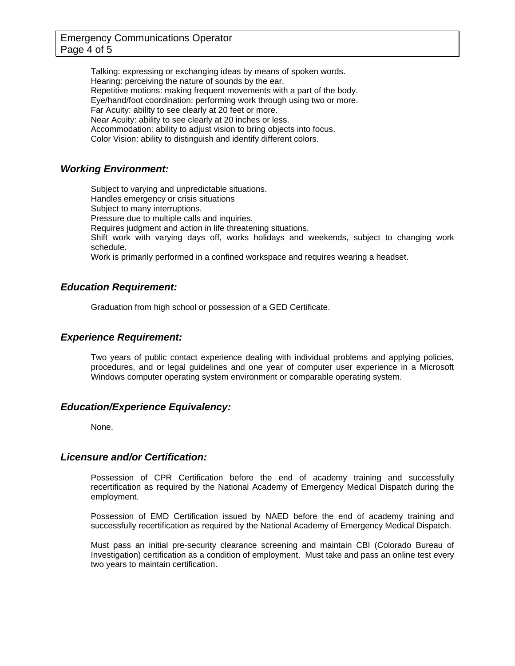Talking: expressing or exchanging ideas by means of spoken words. Hearing: perceiving the nature of sounds by the ear. Repetitive motions: making frequent movements with a part of the body. Eye/hand/foot coordination: performing work through using two or more. Far Acuity: ability to see clearly at 20 feet or more. Near Acuity: ability to see clearly at 20 inches or less. Accommodation: ability to adjust vision to bring objects into focus. Color Vision: ability to distinguish and identify different colors.

### *Working Environment:*

Subject to varying and unpredictable situations. Handles emergency or crisis situations Subject to many interruptions. Pressure due to multiple calls and inquiries. Requires judgment and action in life threatening situations. Shift work with varying days off, works holidays and weekends, subject to changing work schedule. Work is primarily performed in a confined workspace and requires wearing a headset.

### *Education Requirement:*

Graduation from high school or possession of a GED Certificate.

### *Experience Requirement:*

Two years of public contact experience dealing with individual problems and applying policies, procedures, and or legal guidelines and one year of computer user experience in a Microsoft Windows computer operating system environment or comparable operating system.

### *Education/Experience Equivalency:*

None.

### *Licensure and/or Certification:*

Possession of CPR Certification before the end of academy training and successfully recertification as required by the National Academy of Emergency Medical Dispatch during the employment.

Possession of EMD Certification issued by NAED before the end of academy training and successfully recertification as required by the National Academy of Emergency Medical Dispatch.

Must pass an initial pre-security clearance screening and maintain CBI (Colorado Bureau of Investigation) certification as a condition of employment. Must take and pass an online test every two years to maintain certification.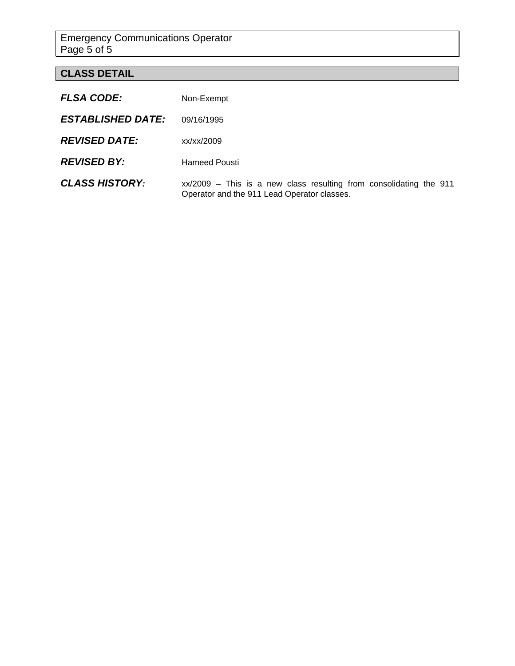Emergency Communications Operator Page 5 of 5

# **CLASS DETAIL**

| <b>FLSA CODE:</b>        | Non-Exempt                                                                                                          |
|--------------------------|---------------------------------------------------------------------------------------------------------------------|
| <b>ESTABLISHED DATE:</b> | 09/16/1995                                                                                                          |
| <b>REVISED DATE:</b>     | xx/xx/2009                                                                                                          |
| <b>REVISED BY:</b>       | <b>Hameed Pousti</b>                                                                                                |
| <b>CLASS HISTORY:</b>    | $xx/2009$ – This is a new class resulting from consolidating the 911<br>Operator and the 911 Lead Operator classes. |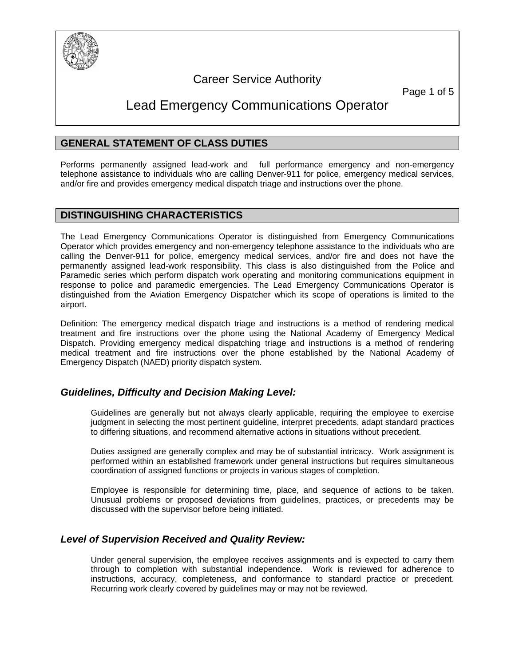

# Career Service Authority

Page 1 of 5

# Lead Emergency Communications Operator

## **GENERAL STATEMENT OF CLASS DUTIES**

Performs permanently assigned lead-work and full performance emergency and non-emergency telephone assistance to individuals who are calling Denver-911 for police, emergency medical services, and/or fire and provides emergency medical dispatch triage and instructions over the phone.

### **DISTINGUISHING CHARACTERISTICS**

The Lead Emergency Communications Operator is distinguished from Emergency Communications Operator which provides emergency and non-emergency telephone assistance to the individuals who are calling the Denver-911 for police, emergency medical services, and/or fire and does not have the permanently assigned lead-work responsibility. This class is also distinguished from the Police and Paramedic series which perform dispatch work operating and monitoring communications equipment in response to police and paramedic emergencies. The Lead Emergency Communications Operator is distinguished from the Aviation Emergency Dispatcher which its scope of operations is limited to the airport.

Definition: The emergency medical dispatch triage and instructions is a method of rendering medical treatment and fire instructions over the phone using the National Academy of Emergency Medical Dispatch. Providing emergency medical dispatching triage and instructions is a method of rendering medical treatment and fire instructions over the phone established by the National Academy of Emergency Dispatch (NAED) priority dispatch system.

### *Guidelines, Difficulty and Decision Making Level:*

Guidelines are generally but not always clearly applicable, requiring the employee to exercise judgment in selecting the most pertinent guideline, interpret precedents, adapt standard practices to differing situations, and recommend alternative actions in situations without precedent.

Duties assigned are generally complex and may be of substantial intricacy. Work assignment is performed within an established framework under general instructions but requires simultaneous coordination of assigned functions or projects in various stages of completion.

Employee is responsible for determining time, place, and sequence of actions to be taken. Unusual problems or proposed deviations from guidelines, practices, or precedents may be discussed with the supervisor before being initiated.

### *Level of Supervision Received and Quality Review:*

Under general supervision, the employee receives assignments and is expected to carry them through to completion with substantial independence. Work is reviewed for adherence to instructions, accuracy, completeness, and conformance to standard practice or precedent. Recurring work clearly covered by guidelines may or may not be reviewed.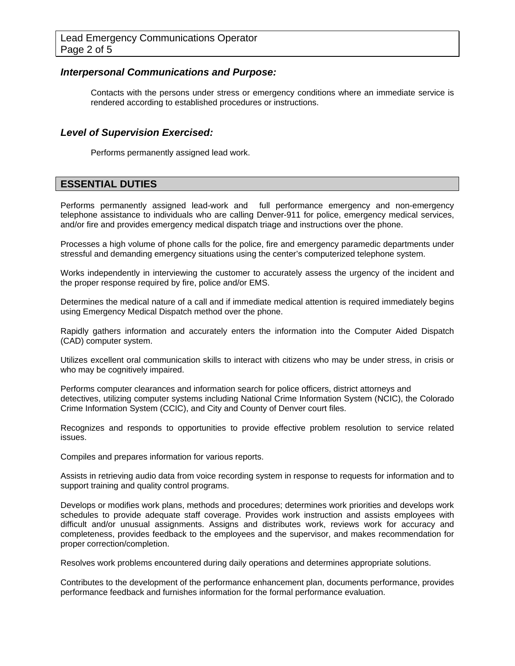### *Interpersonal Communications and Purpose:*

Contacts with the persons under stress or emergency conditions where an immediate service is rendered according to established procedures or instructions.

### *Level of Supervision Exercised:*

Performs permanently assigned lead work.

## **ESSENTIAL DUTIES**

Performs permanently assigned lead-work and full performance emergency and non-emergency telephone assistance to individuals who are calling Denver-911 for police, emergency medical services, and/or fire and provides emergency medical dispatch triage and instructions over the phone.

Processes a high volume of phone calls for the police, fire and emergency paramedic departments under stressful and demanding emergency situations using the center's computerized telephone system.

Works independently in interviewing the customer to accurately assess the urgency of the incident and the proper response required by fire, police and/or EMS.

Determines the medical nature of a call and if immediate medical attention is required immediately begins using Emergency Medical Dispatch method over the phone.

Rapidly gathers information and accurately enters the information into the Computer Aided Dispatch (CAD) computer system.

Utilizes excellent oral communication skills to interact with citizens who may be under stress, in crisis or who may be cognitively impaired.

Performs computer clearances and information search for police officers, district attorneys and detectives, utilizing computer systems including National Crime Information System (NCIC), the Colorado Crime Information System (CCIC), and City and County of Denver court files.

Recognizes and responds to opportunities to provide effective problem resolution to service related issues.

Compiles and prepares information for various reports.

Assists in retrieving audio data from voice recording system in response to requests for information and to support training and quality control programs.

Develops or modifies work plans, methods and procedures; determines work priorities and develops work schedules to provide adequate staff coverage. Provides work instruction and assists employees with difficult and/or unusual assignments. Assigns and distributes work, reviews work for accuracy and completeness, provides feedback to the employees and the supervisor, and makes recommendation for proper correction/completion.

Resolves work problems encountered during daily operations and determines appropriate solutions.

Contributes to the development of the performance enhancement plan, documents performance, provides performance feedback and furnishes information for the formal performance evaluation.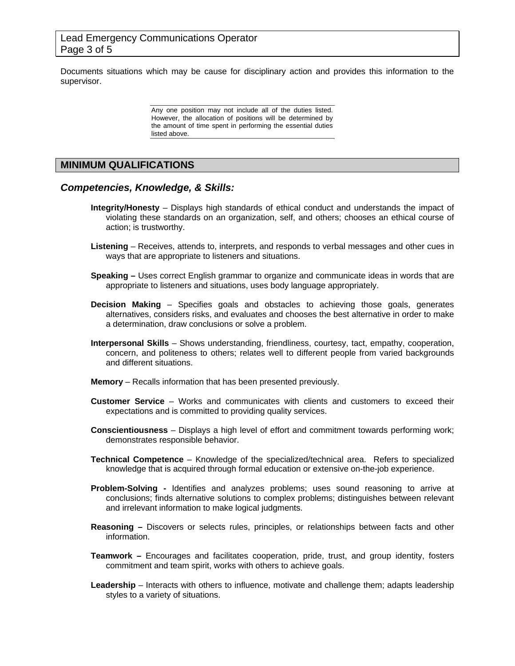Documents situations which may be cause for disciplinary action and provides this information to the supervisor.

> Any one position may not include all of the duties listed. However, the allocation of positions will be determined by the amount of time spent in performing the essential duties listed above.

### **MINIMUM QUALIFICATIONS**

### *Competencies, Knowledge, & Skills:*

- **Integrity/Honesty**  Displays high standards of ethical conduct and understands the impact of violating these standards on an organization, self, and others; chooses an ethical course of action; is trustworthy.
- **Listening**  Receives, attends to, interprets, and responds to verbal messages and other cues in ways that are appropriate to listeners and situations.
- **Speaking** Uses correct English grammar to organize and communicate ideas in words that are appropriate to listeners and situations, uses body language appropriately.
- **Decision Making**  Specifies goals and obstacles to achieving those goals, generates alternatives, considers risks, and evaluates and chooses the best alternative in order to make a determination, draw conclusions or solve a problem.
- **Interpersonal Skills**  Shows understanding, friendliness, courtesy, tact, empathy, cooperation, concern, and politeness to others; relates well to different people from varied backgrounds and different situations.
- **Memory**  Recalls information that has been presented previously.
- **Customer Service**  Works and communicates with clients and customers to exceed their expectations and is committed to providing quality services.
- **Conscientiousness**  Displays a high level of effort and commitment towards performing work; demonstrates responsible behavior.
- **Technical Competence** Knowledge of the specialized/technical area. Refers to specialized knowledge that is acquired through formal education or extensive on-the-job experience.
- **Problem-Solving** Identifies and analyzes problems; uses sound reasoning to arrive at conclusions; finds alternative solutions to complex problems; distinguishes between relevant and irrelevant information to make logical judgments.
- **Reasoning** Discovers or selects rules, principles, or relationships between facts and other information.
- **Teamwork** Encourages and facilitates cooperation, pride, trust, and group identity, fosters commitment and team spirit, works with others to achieve goals.
- **Leadership** Interacts with others to influence, motivate and challenge them; adapts leadership styles to a variety of situations.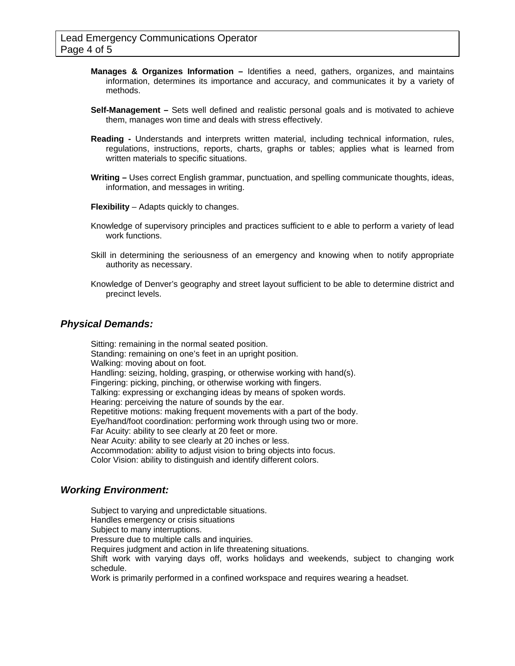- **Manages & Organizes Information** Identifies a need, gathers, organizes, and maintains information, determines its importance and accuracy, and communicates it by a variety of methods.
- **Self-Management** Sets well defined and realistic personal goals and is motivated to achieve them, manages won time and deals with stress effectively.
- **Reading** Understands and interprets written material, including technical information, rules, regulations, instructions, reports, charts, graphs or tables; applies what is learned from written materials to specific situations.
- **Writing** Uses correct English grammar, punctuation, and spelling communicate thoughts, ideas, information, and messages in writing.
- **Flexibility** Adapts quickly to changes.
- Knowledge of supervisory principles and practices sufficient to e able to perform a variety of lead work functions.
- Skill in determining the seriousness of an emergency and knowing when to notify appropriate authority as necessary.
- Knowledge of Denver's geography and street layout sufficient to be able to determine district and precinct levels.

### *Physical Demands:*

Sitting: remaining in the normal seated position. Standing: remaining on one's feet in an upright position. Walking: moving about on foot. Handling: seizing, holding, grasping, or otherwise working with hand(s). Fingering: picking, pinching, or otherwise working with fingers. Talking: expressing or exchanging ideas by means of spoken words. Hearing: perceiving the nature of sounds by the ear. Repetitive motions: making frequent movements with a part of the body. Eye/hand/foot coordination: performing work through using two or more. Far Acuity: ability to see clearly at 20 feet or more. Near Acuity: ability to see clearly at 20 inches or less. Accommodation: ability to adjust vision to bring objects into focus. Color Vision: ability to distinguish and identify different colors.

#### *Working Environment:*

Subject to varying and unpredictable situations. Handles emergency or crisis situations Subject to many interruptions. Pressure due to multiple calls and inquiries. Requires judgment and action in life threatening situations. Shift work with varying days off, works holidays and weekends, subject to changing work schedule. Work is primarily performed in a confined workspace and requires wearing a headset.